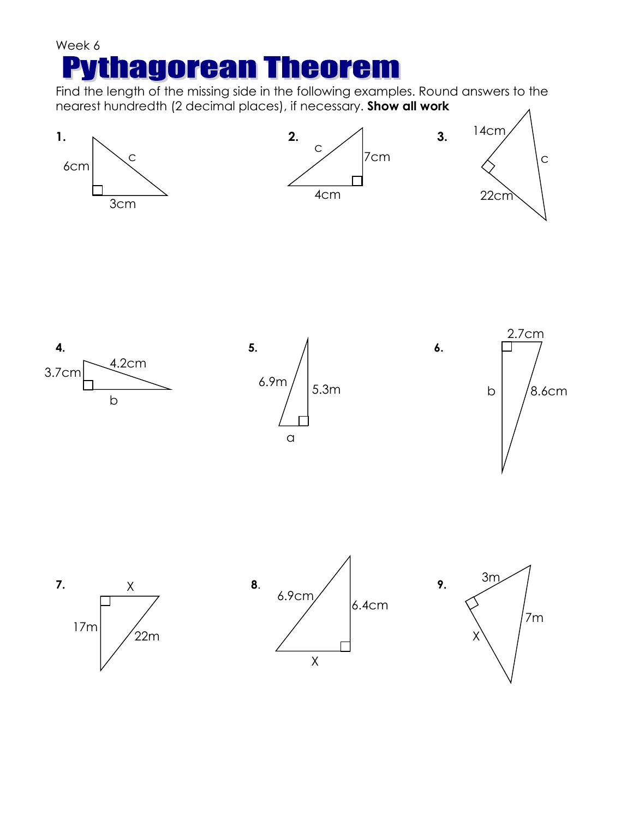## Week 6 **agorean Theorem** PV

Find the length of the missing side in the following examples. Round answers to the nearest hundredth (2 decimal places), if necessary. **Show all work**

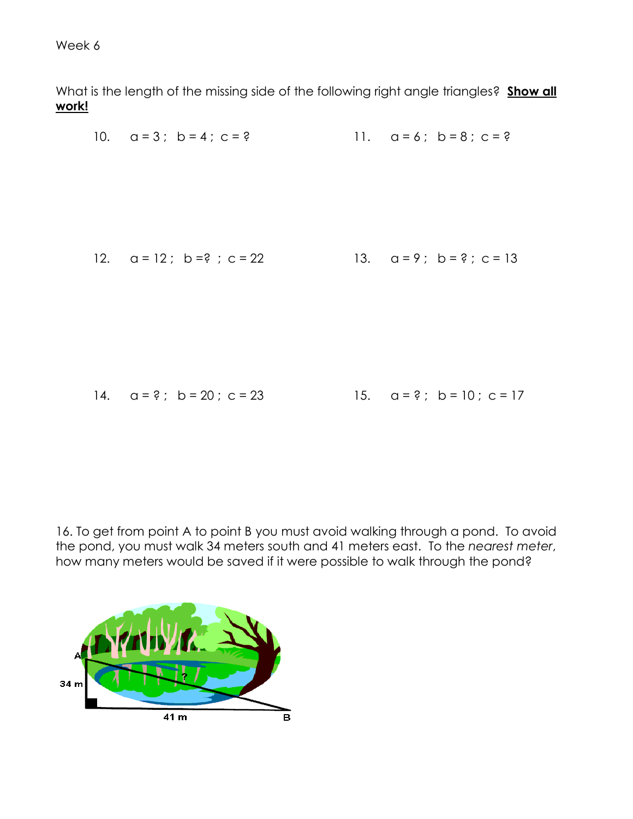Week 6

What is the length of the missing side of the following right angle triangles? **Show all work!**

10. 
$$
a = 3
$$
;  $b = 4$ ;  $c = ?$   
\n11.  $a = 6$ ;  $b = 8$ ;  $c = ?$   
\n12.  $a = 12$ ;  $b = ?$ ;  $c = 22$   
\n13.  $a = ?$ ;  $b = ?$ ;  $c = 13$   
\n14.  $a = ?$ ;  $b = 20$ ;  $c = 23$   
\n15.  $a = ?$ ;  $b = 10$ ;  $c = 17$ 

16. To get from point A to point B you must avoid walking through a pond. To avoid the pond, you must walk 34 meters south and 41 meters east. To the *nearest meter*, how many meters would be saved if it were possible to walk through the pond?

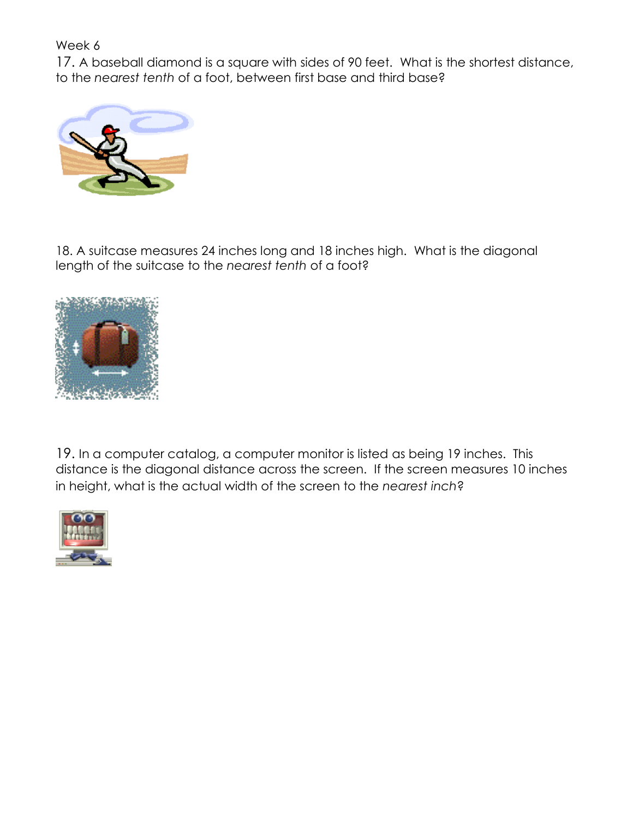Week 6

17. A baseball diamond is a square with sides of 90 feet. What is the shortest distance, to the *nearest tenth* of a foot, between first base and third base?



18. A suitcase measures 24 inches long and 18 inches high. What is the diagonal length of the suitcase to the *nearest tenth* of a foot?



19. In a computer catalog, a computer monitor is listed as being 19 inches. This distance is the diagonal distance across the screen. If the screen measures 10 inches in height, what is the actual width of the screen to the *nearest inch*?